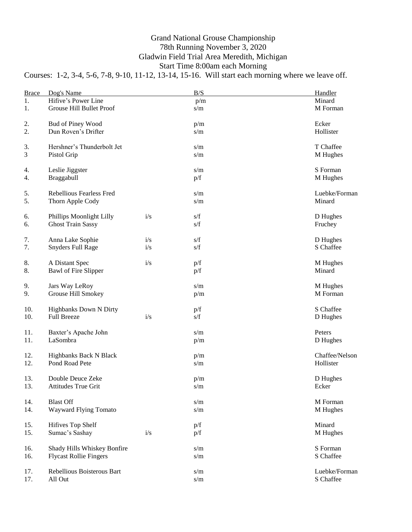## Grand National Grouse Championship 78th Running November 3, 2020 Gladwin Field Trial Area Meredith, Michigan Start Time 8:00am each Morning

Courses: 1-2, 3-4, 5-6, 7-8, 9-10, 11-12, 13-14, 15-16. Will start each morning where we leave off.

| <b>Brace</b> | Dog's Name                      |     | B/S                                               | Handler        |
|--------------|---------------------------------|-----|---------------------------------------------------|----------------|
| 1.           | Hifive's Power Line             |     | p/m                                               | Minard         |
| 1.           | Grouse Hill Bullet Proof        |     | s/m                                               | M Forman       |
| 2.           | Bud of Piney Wood               |     | p/m                                               | Ecker          |
| 2.           | Dun Roven's Drifter             |     | s/m                                               | Hollister      |
| 3.           | Hershner's Thunderbolt Jet      |     | s/m                                               | T Chaffee      |
| 3            | Pistol Grip                     |     | s/m                                               | M Hughes       |
| 4.           | Leslie Jiggster                 |     | s/m                                               | S Forman       |
| 4.           | Braggabull                      |     | p/f                                               | M Hughes       |
| 5.           | <b>Rebellious Fearless Fred</b> |     | s/m                                               | Luebke/Forman  |
| 5.           | Thorn Apple Cody                |     | s/m                                               | Minard         |
| 6.           | Phillips Moonlight Lilly        | i/s | s/f                                               | D Hughes       |
| 6.           | <b>Ghost Train Sassy</b>        |     | s/f                                               | Fruchey        |
| 7.           | Anna Lake Sophie                | i/s | s/f                                               | D Hughes       |
| 7.           | <b>Snyders Full Rage</b>        | i/s | s/f                                               | S Chaffee      |
| 8.           | A Distant Spec                  | i/s | p/f                                               | M Hughes       |
| 8.           | Bawl of Fire Slipper            |     | p/f                                               | Minard         |
| 9.           | Jars Way LeRoy                  |     | s/m                                               | M Hughes       |
| 9.           | Grouse Hill Smokey              |     | p/m                                               | M Forman       |
| 10.          | Highbanks Down N Dirty          | i/s | p/f                                               | S Chaffee      |
| 10.          | <b>Full Breeze</b>              |     | s/f                                               | D Hughes       |
| 11.          | Baxter's Apache John            |     | s/m                                               | Peters         |
| 11.          | LaSombra                        |     | p/m                                               | D Hughes       |
| 12.          | Highbanks Back N Black          |     | p/m                                               | Chaffee/Nelson |
| 12.          | Pond Road Pete                  |     | s/m                                               | Hollister      |
| 13.          | Double Deuce Zeke               |     | p/m                                               | D Hughes       |
| 13.          | Attitudes True Grit             |     | s/m                                               | Ecker          |
| 14.          | <b>Blast Off</b>                |     | $\ensuremath{\mathrm{s}}/\ensuremath{\mathrm{m}}$ | M Forman       |
| 14.          | Wayward Flying Tomato           |     | $\ensuremath{\mathrm{s}}/\ensuremath{\mathrm{m}}$ | M Hughes       |
| 15.          | Hifives Top Shelf               | i/s | p/f                                               | Minard         |
| 15.          | Sumac's Sashay                  |     | p/f                                               | M Hughes       |
| 16.          | Shady Hills Whiskey Bonfire     |     | s/m                                               | S Forman       |
| 16.          | <b>Flycast Rollie Fingers</b>   |     | s/m                                               | S Chaffee      |
| 17.          | Rebellious Boisterous Bart      |     | s/m                                               | Luebke/Forman  |
| 17.          | All Out                         |     | s/m                                               | S Chaffee      |